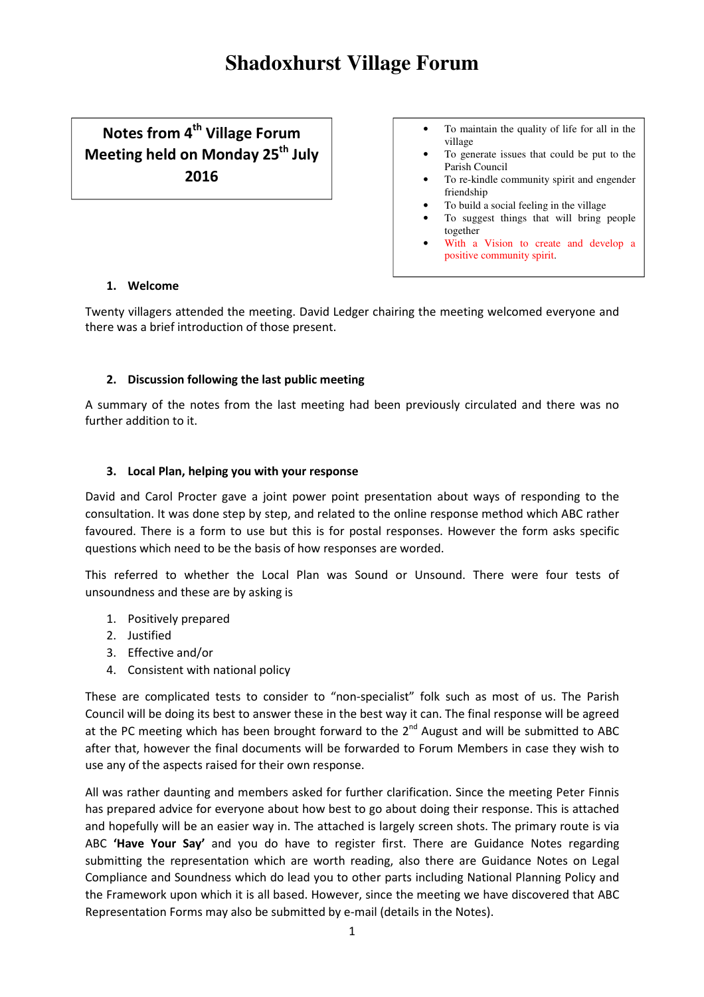# Notes from 4<sup>th</sup> Village Forum Meeting held on Monday 25<sup>th</sup> July 2016

- To maintain the quality of life for all in the village
- To generate issues that could be put to the Parish Council
- To re-kindle community spirit and engender friendship
- To build a social feeling in the village
- To suggest things that will bring people together
- With a Vision to create and develop a positive community spirit.

# 1. Welcome

Twenty villagers attended the meeting. David Ledger chairing the meeting welcomed everyone and there was a brief introduction of those present.

# 2. Discussion following the last public meeting

A summary of the notes from the last meeting had been previously circulated and there was no further addition to it.

# 3. Local Plan, helping you with your response

David and Carol Procter gave a joint power point presentation about ways of responding to the consultation. It was done step by step, and related to the online response method which ABC rather favoured. There is a form to use but this is for postal responses. However the form asks specific questions which need to be the basis of how responses are worded.

This referred to whether the Local Plan was Sound or Unsound. There were four tests of unsoundness and these are by asking is

- 1. Positively prepared
- 2. Justified
- 3. Effective and/or
- 4. Consistent with national policy

These are complicated tests to consider to "non-specialist" folk such as most of us. The Parish Council will be doing its best to answer these in the best way it can. The final response will be agreed at the PC meeting which has been brought forward to the  $2^{nd}$  August and will be submitted to ABC after that, however the final documents will be forwarded to Forum Members in case they wish to use any of the aspects raised for their own response.

All was rather daunting and members asked for further clarification. Since the meeting Peter Finnis has prepared advice for everyone about how best to go about doing their response. This is attached and hopefully will be an easier way in. The attached is largely screen shots. The primary route is via ABC 'Have Your Say' and you do have to register first. There are Guidance Notes regarding submitting the representation which are worth reading, also there are Guidance Notes on Legal Compliance and Soundness which do lead you to other parts including National Planning Policy and the Framework upon which it is all based. However, since the meeting we have discovered that ABC Representation Forms may also be submitted by e-mail (details in the Notes).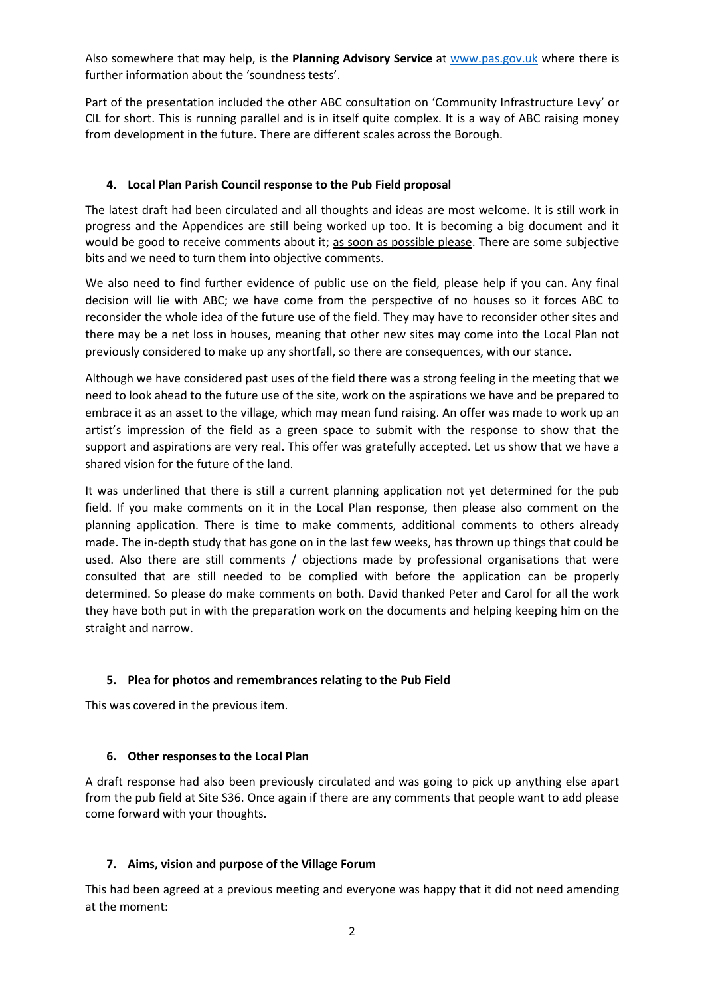Also somewhere that may help, is the Planning Advisory Service at www.pas.gov.uk where there is further information about the 'soundness tests'.

Part of the presentation included the other ABC consultation on 'Community Infrastructure Levy' or CIL for short. This is running parallel and is in itself quite complex. It is a way of ABC raising money from development in the future. There are different scales across the Borough.

## 4. Local Plan Parish Council response to the Pub Field proposal

The latest draft had been circulated and all thoughts and ideas are most welcome. It is still work in progress and the Appendices are still being worked up too. It is becoming a big document and it would be good to receive comments about it; as soon as possible please. There are some subjective bits and we need to turn them into objective comments.

We also need to find further evidence of public use on the field, please help if you can. Any final decision will lie with ABC; we have come from the perspective of no houses so it forces ABC to reconsider the whole idea of the future use of the field. They may have to reconsider other sites and there may be a net loss in houses, meaning that other new sites may come into the Local Plan not previously considered to make up any shortfall, so there are consequences, with our stance.

Although we have considered past uses of the field there was a strong feeling in the meeting that we need to look ahead to the future use of the site, work on the aspirations we have and be prepared to embrace it as an asset to the village, which may mean fund raising. An offer was made to work up an artist's impression of the field as a green space to submit with the response to show that the support and aspirations are very real. This offer was gratefully accepted. Let us show that we have a shared vision for the future of the land.

It was underlined that there is still a current planning application not yet determined for the pub field. If you make comments on it in the Local Plan response, then please also comment on the planning application. There is time to make comments, additional comments to others already made. The in-depth study that has gone on in the last few weeks, has thrown up things that could be used. Also there are still comments / objections made by professional organisations that were consulted that are still needed to be complied with before the application can be properly determined. So please do make comments on both. David thanked Peter and Carol for all the work they have both put in with the preparation work on the documents and helping keeping him on the straight and narrow.

## 5. Plea for photos and remembrances relating to the Pub Field

This was covered in the previous item.

#### 6. Other responses to the Local Plan

A draft response had also been previously circulated and was going to pick up anything else apart from the pub field at Site S36. Once again if there are any comments that people want to add please come forward with your thoughts.

## 7. Aims, vision and purpose of the Village Forum

This had been agreed at a previous meeting and everyone was happy that it did not need amending at the moment: